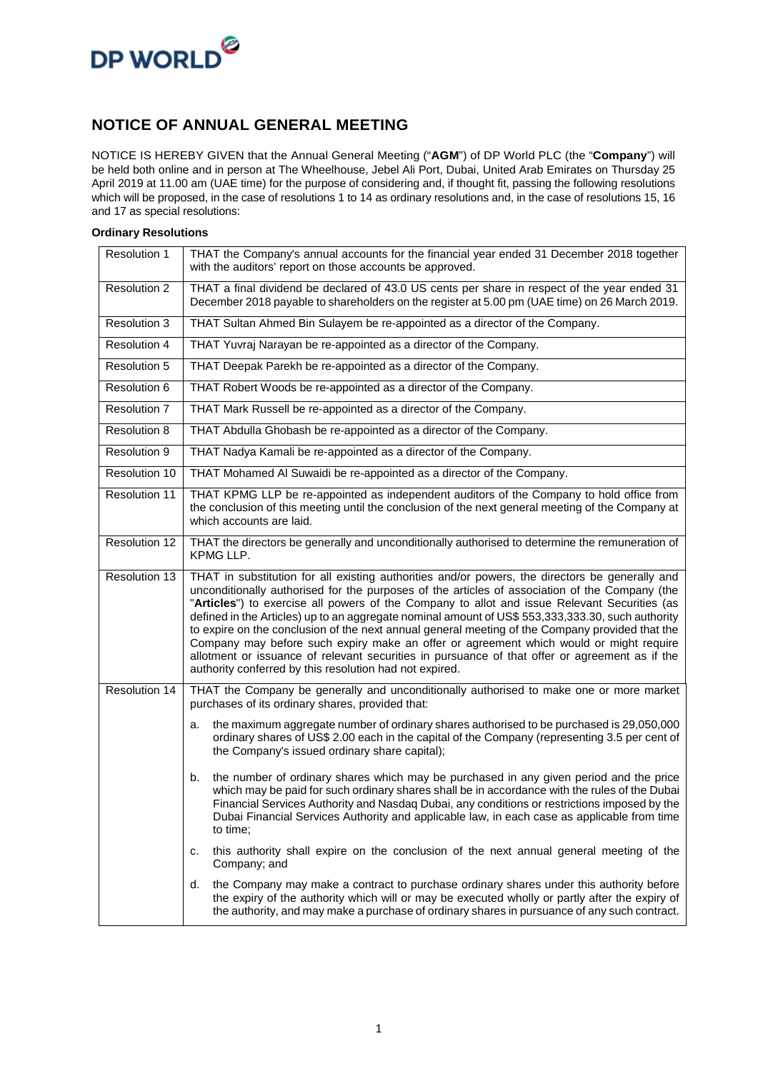

#### **NOTICE OF ANNUAL GENERAL MEETING**

NOTICE IS HEREBY GIVEN that the Annual General Meeting ("**AGM**") of DP World PLC (the "**Company**") will be held both online and in person at The Wheelhouse, Jebel Ali Port, Dubai, United Arab Emirates on Thursday 25 April 2019 at 11.00 am (UAE time) for the purpose of considering and, if thought fit, passing the following resolutions which will be proposed, in the case of resolutions 1 to 14 as ordinary resolutions and, in the case of resolutions 15, 16 and 17 as special resolutions:

#### **Ordinary Resolutions**

| Resolution 1        | THAT the Company's annual accounts for the financial year ended 31 December 2018 together<br>with the auditors' report on those accounts be approved.                                                                                                                                                                                                                                                                                                                                                                                                                                                                                                                                                                                                            |
|---------------------|------------------------------------------------------------------------------------------------------------------------------------------------------------------------------------------------------------------------------------------------------------------------------------------------------------------------------------------------------------------------------------------------------------------------------------------------------------------------------------------------------------------------------------------------------------------------------------------------------------------------------------------------------------------------------------------------------------------------------------------------------------------|
| <b>Resolution 2</b> | THAT a final dividend be declared of 43.0 US cents per share in respect of the year ended 31<br>December 2018 payable to shareholders on the register at 5.00 pm (UAE time) on 26 March 2019.                                                                                                                                                                                                                                                                                                                                                                                                                                                                                                                                                                    |
| <b>Resolution 3</b> | THAT Sultan Ahmed Bin Sulayem be re-appointed as a director of the Company.                                                                                                                                                                                                                                                                                                                                                                                                                                                                                                                                                                                                                                                                                      |
| <b>Resolution 4</b> | THAT Yuvraj Narayan be re-appointed as a director of the Company.                                                                                                                                                                                                                                                                                                                                                                                                                                                                                                                                                                                                                                                                                                |
| Resolution 5        | THAT Deepak Parekh be re-appointed as a director of the Company.                                                                                                                                                                                                                                                                                                                                                                                                                                                                                                                                                                                                                                                                                                 |
| Resolution 6        | THAT Robert Woods be re-appointed as a director of the Company.                                                                                                                                                                                                                                                                                                                                                                                                                                                                                                                                                                                                                                                                                                  |
| Resolution 7        | THAT Mark Russell be re-appointed as a director of the Company.                                                                                                                                                                                                                                                                                                                                                                                                                                                                                                                                                                                                                                                                                                  |
| <b>Resolution 8</b> | THAT Abdulla Ghobash be re-appointed as a director of the Company.                                                                                                                                                                                                                                                                                                                                                                                                                                                                                                                                                                                                                                                                                               |
| Resolution 9        | THAT Nadya Kamali be re-appointed as a director of the Company.                                                                                                                                                                                                                                                                                                                                                                                                                                                                                                                                                                                                                                                                                                  |
| Resolution 10       | THAT Mohamed AI Suwaidi be re-appointed as a director of the Company.                                                                                                                                                                                                                                                                                                                                                                                                                                                                                                                                                                                                                                                                                            |
| Resolution 11       | THAT KPMG LLP be re-appointed as independent auditors of the Company to hold office from<br>the conclusion of this meeting until the conclusion of the next general meeting of the Company at<br>which accounts are laid.                                                                                                                                                                                                                                                                                                                                                                                                                                                                                                                                        |
| Resolution 12       | THAT the directors be generally and unconditionally authorised to determine the remuneration of<br>KPMG LLP.                                                                                                                                                                                                                                                                                                                                                                                                                                                                                                                                                                                                                                                     |
| Resolution 13       | THAT in substitution for all existing authorities and/or powers, the directors be generally and<br>unconditionally authorised for the purposes of the articles of association of the Company (the<br>"Articles") to exercise all powers of the Company to allot and issue Relevant Securities (as<br>defined in the Articles) up to an aggregate nominal amount of US\$ 553,333,333.30, such authority<br>to expire on the conclusion of the next annual general meeting of the Company provided that the<br>Company may before such expiry make an offer or agreement which would or might require<br>allotment or issuance of relevant securities in pursuance of that offer or agreement as if the<br>authority conferred by this resolution had not expired. |
| Resolution 14       | THAT the Company be generally and unconditionally authorised to make one or more market<br>purchases of its ordinary shares, provided that:                                                                                                                                                                                                                                                                                                                                                                                                                                                                                                                                                                                                                      |
|                     | the maximum aggregate number of ordinary shares authorised to be purchased is 29,050,000<br>a.<br>ordinary shares of US\$ 2.00 each in the capital of the Company (representing 3.5 per cent of<br>the Company's issued ordinary share capital);                                                                                                                                                                                                                                                                                                                                                                                                                                                                                                                 |
|                     | the number of ordinary shares which may be purchased in any given period and the price<br>b.<br>which may be paid for such ordinary shares shall be in accordance with the rules of the Dubai<br>Financial Services Authority and Nasdaq Dubai, any conditions or restrictions imposed by the<br>Dubai Financial Services Authority and applicable law, in each case as applicable from time<br>to time:                                                                                                                                                                                                                                                                                                                                                         |
|                     | this authority shall expire on the conclusion of the next annual general meeting of the<br>c.<br>Company; and                                                                                                                                                                                                                                                                                                                                                                                                                                                                                                                                                                                                                                                    |
|                     | the Company may make a contract to purchase ordinary shares under this authority before<br>d.<br>the expiry of the authority which will or may be executed wholly or partly after the expiry of<br>the authority, and may make a purchase of ordinary shares in pursuance of any such contract.                                                                                                                                                                                                                                                                                                                                                                                                                                                                  |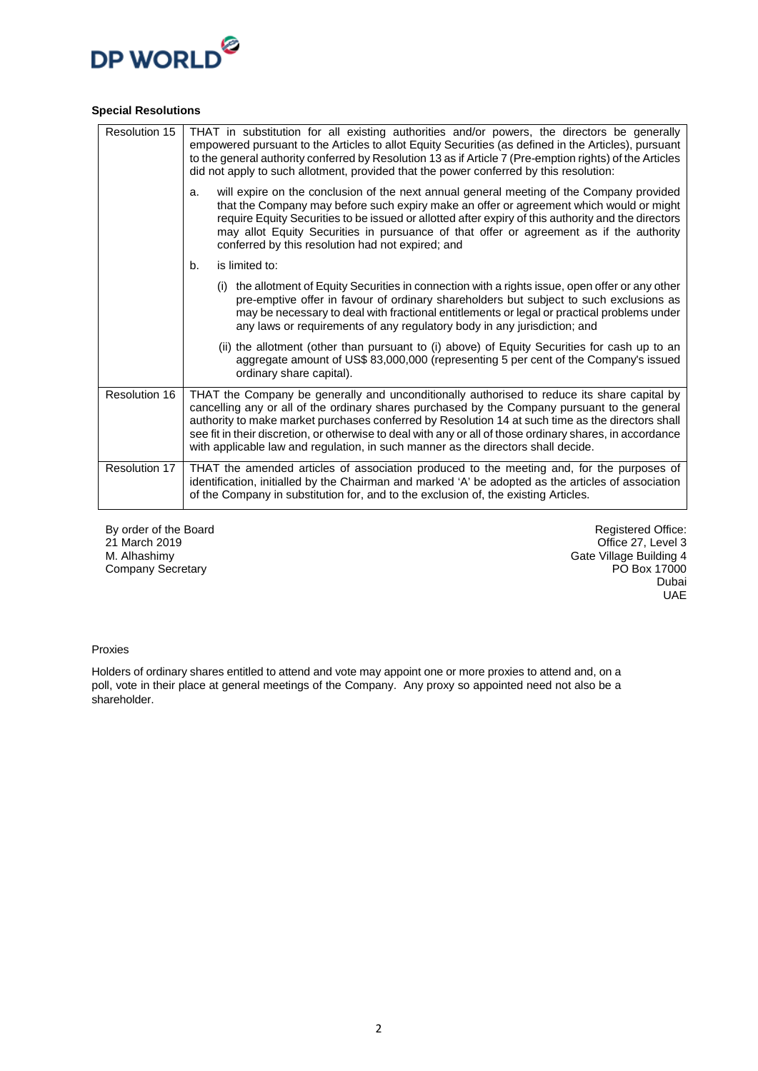

#### **Special Resolutions**

| Resolution 15 | THAT in substitution for all existing authorities and/or powers, the directors be generally<br>empowered pursuant to the Articles to allot Equity Securities (as defined in the Articles), pursuant<br>to the general authority conferred by Resolution 13 as if Article 7 (Pre-emption rights) of the Articles<br>did not apply to such allotment, provided that the power conferred by this resolution:                                                                                           |
|---------------|-----------------------------------------------------------------------------------------------------------------------------------------------------------------------------------------------------------------------------------------------------------------------------------------------------------------------------------------------------------------------------------------------------------------------------------------------------------------------------------------------------|
|               | will expire on the conclusion of the next annual general meeting of the Company provided<br>a.<br>that the Company may before such expiry make an offer or agreement which would or might<br>require Equity Securities to be issued or allotted after expiry of this authority and the directors<br>may allot Equity Securities in pursuance of that offer or agreement as if the authority<br>conferred by this resolution had not expired; and                                                    |
|               | is limited to:<br>b.                                                                                                                                                                                                                                                                                                                                                                                                                                                                                |
|               | (i) the allotment of Equity Securities in connection with a rights issue, open offer or any other<br>pre-emptive offer in favour of ordinary shareholders but subject to such exclusions as<br>may be necessary to deal with fractional entitlements or legal or practical problems under<br>any laws or requirements of any regulatory body in any jurisdiction; and                                                                                                                               |
|               | (ii) the allotment (other than pursuant to (i) above) of Equity Securities for cash up to an<br>aggregate amount of US\$ 83,000,000 (representing 5 per cent of the Company's issued<br>ordinary share capital).                                                                                                                                                                                                                                                                                    |
| Resolution 16 | THAT the Company be generally and unconditionally authorised to reduce its share capital by<br>cancelling any or all of the ordinary shares purchased by the Company pursuant to the general<br>authority to make market purchases conferred by Resolution 14 at such time as the directors shall<br>see fit in their discretion, or otherwise to deal with any or all of those ordinary shares, in accordance<br>with applicable law and regulation, in such manner as the directors shall decide. |
| Resolution 17 | THAT the amended articles of association produced to the meeting and, for the purposes of<br>identification, initialled by the Chairman and marked 'A' be adopted as the articles of association<br>of the Company in substitution for, and to the exclusion of, the existing Articles.                                                                                                                                                                                                             |

By order of the Board 21 March 2019 M. Alhashimy Company Secretary

Registered Office: Office 27, Level 3 Gate Village Building 4 PO Box 17000 Dubai UAE

#### Proxies

Holders of ordinary shares entitled to attend and vote may appoint one or more proxies to attend and, on a poll, vote in their place at general meetings of the Company. Any proxy so appointed need not also be a shareholder.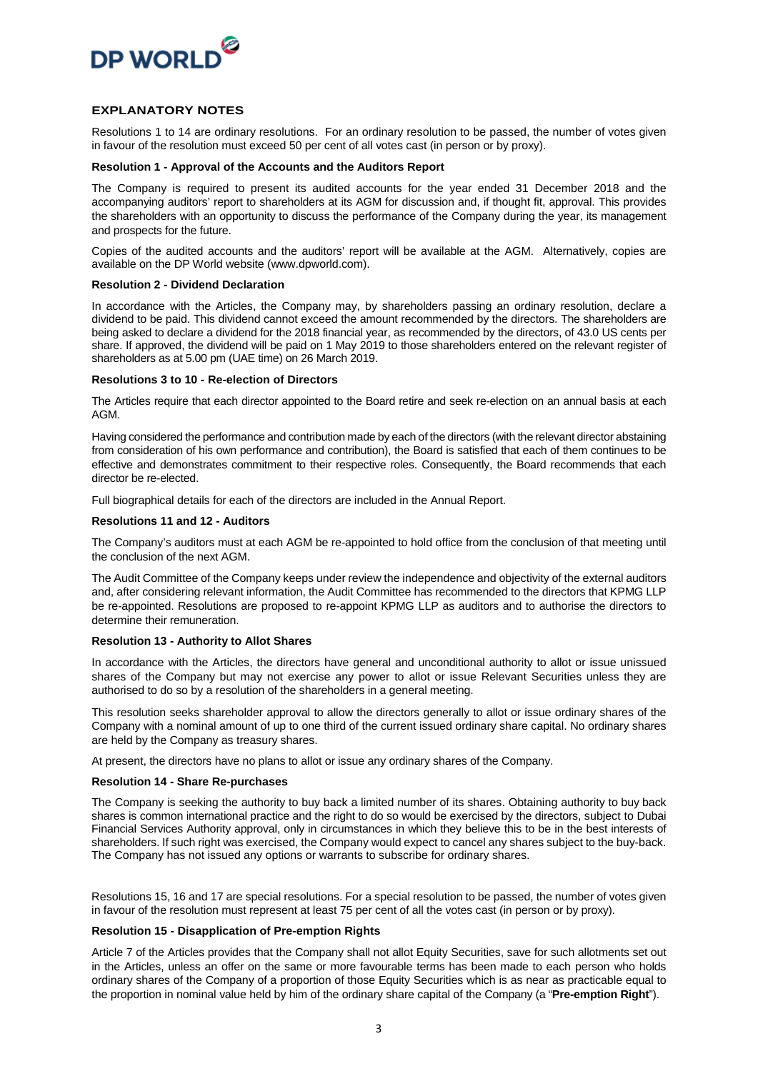

#### **EXPLANATORY NOTES**

Resolutions 1 to 14 are ordinary resolutions. For an ordinary resolution to be passed, the number of votes given in favour of the resolution must exceed 50 per cent of all votes cast (in person or by proxy).

#### **Resolution 1 - Approval of the Accounts and the Auditors Report**

The Company is required to present its audited accounts for the year ended 31 December 2018 and the accompanying auditors' report to shareholders at its AGM for discussion and, if thought fit, approval. This provides the shareholders with an opportunity to discuss the performance of the Company during the year, its management and prospects for the future.

Copies of the audited accounts and the auditors' report will be available at the AGM. Alternatively, copies are available on the DP World website (www.dpworld.com).

#### **Resolution 2 - Dividend Declaration**

In accordance with the Articles, the Company may, by shareholders passing an ordinary resolution, declare a dividend to be paid. This dividend cannot exceed the amount recommended by the directors. The shareholders are being asked to declare a dividend for the 2018 financial year, as recommended by the directors, of 43.0 US cents per share. If approved, the dividend will be paid on 1 May 2019 to those shareholders entered on the relevant register of shareholders as at 5.00 pm (UAE time) on 26 March 2019.

#### **Resolutions 3 to 10 - Re-election of Directors**

The Articles require that each director appointed to the Board retire and seek re-election on an annual basis at each AGM.

Having considered the performance and contribution made by each of the directors (with the relevant director abstaining from consideration of his own performance and contribution), the Board is satisfied that each of them continues to be effective and demonstrates commitment to their respective roles. Consequently, the Board recommends that each director be re-elected.

Full biographical details for each of the directors are included in the Annual Report.

#### **Resolutions 11 and 12 - Auditors**

The Company's auditors must at each AGM be re-appointed to hold office from the conclusion of that meeting until the conclusion of the next AGM.

The Audit Committee of the Company keeps under review the independence and objectivity of the external auditors and, after considering relevant information, the Audit Committee has recommended to the directors that KPMG LLP be re-appointed. Resolutions are proposed to re-appoint KPMG LLP as auditors and to authorise the directors to determine their remuneration.

#### **Resolution 13 - Authority to Allot Shares**

In accordance with the Articles, the directors have general and unconditional authority to allot or issue unissued shares of the Company but may not exercise any power to allot or issue Relevant Securities unless they are authorised to do so by a resolution of the shareholders in a general meeting.

This resolution seeks shareholder approval to allow the directors generally to allot or issue ordinary shares of the Company with a nominal amount of up to one third of the current issued ordinary share capital. No ordinary shares are held by the Company as treasury shares.

At present, the directors have no plans to allot or issue any ordinary shares of the Company.

#### **Resolution 14 - Share Re-purchases**

The Company is seeking the authority to buy back a limited number of its shares. Obtaining authority to buy back shares is common international practice and the right to do so would be exercised by the directors, subject to Dubai Financial Services Authority approval, only in circumstances in which they believe this to be in the best interests of shareholders. If such right was exercised, the Company would expect to cancel any shares subject to the buy-back. The Company has not issued any options or warrants to subscribe for ordinary shares.

Resolutions 15, 16 and 17 are special resolutions. For a special resolution to be passed, the number of votes given in favour of the resolution must represent at least 75 per cent of all the votes cast (in person or by proxy).

#### **Resolution 15 - Disapplication of Pre-emption Rights**

Article 7 of the Articles provides that the Company shall not allot Equity Securities, save for such allotments set out in the Articles, unless an offer on the same or more favourable terms has been made to each person who holds ordinary shares of the Company of a proportion of those Equity Securities which is as near as practicable equal to the proportion in nominal value held by him of the ordinary share capital of the Company (a "**Pre-emption Right**").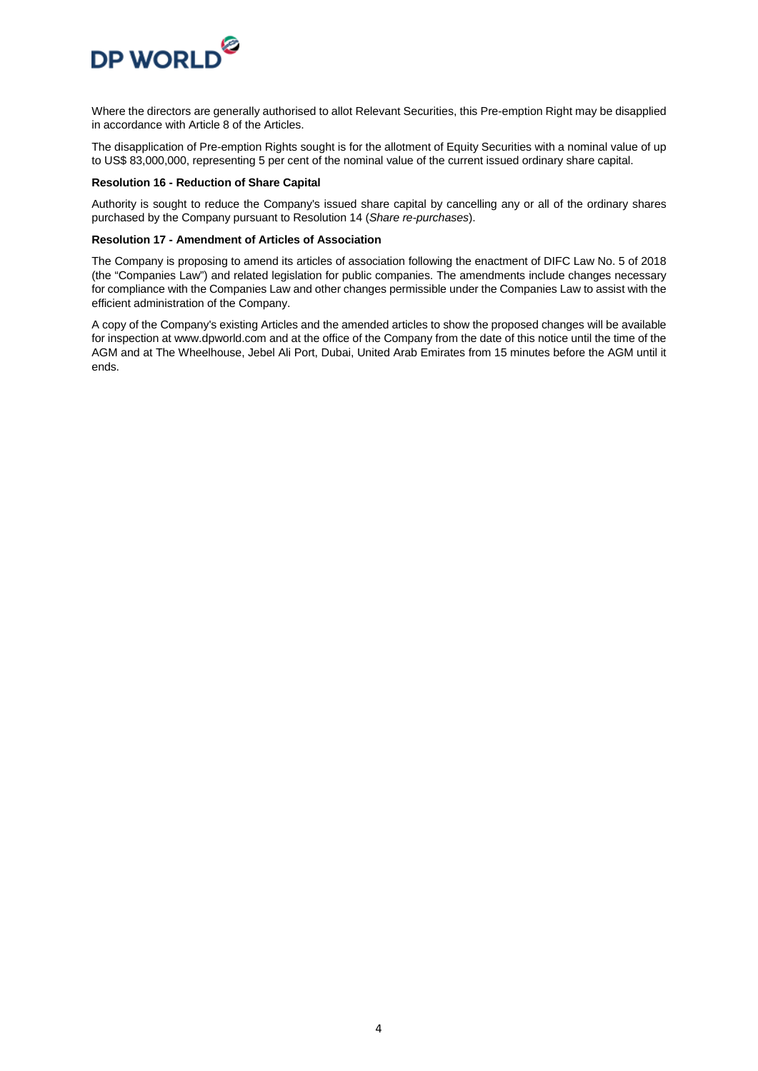

Where the directors are generally authorised to allot Relevant Securities, this Pre-emption Right may be disapplied in accordance with Article 8 of the Articles.

The disapplication of Pre-emption Rights sought is for the allotment of Equity Securities with a nominal value of up to US\$ 83,000,000, representing 5 per cent of the nominal value of the current issued ordinary share capital.

#### **Resolution 16 - Reduction of Share Capital**

Authority is sought to reduce the Company's issued share capital by cancelling any or all of the ordinary shares purchased by the Company pursuant to Resolution 14 (*Share re-purchases*).

#### **Resolution 17 - Amendment of Articles of Association**

The Company is proposing to amend its articles of association following the enactment of DIFC Law No. 5 of 2018 (the "Companies Law") and related legislation for public companies. The amendments include changes necessary for compliance with the Companies Law and other changes permissible under the Companies Law to assist with the efficient administration of the Company.

A copy of the Company's existing Articles and the amended articles to show the proposed changes will be available for inspection at www.dpworld.com and at the office of the Company from the date of this notice until the time of the AGM and at The Wheelhouse, Jebel Ali Port, Dubai, United Arab Emirates from 15 minutes before the AGM until it ends.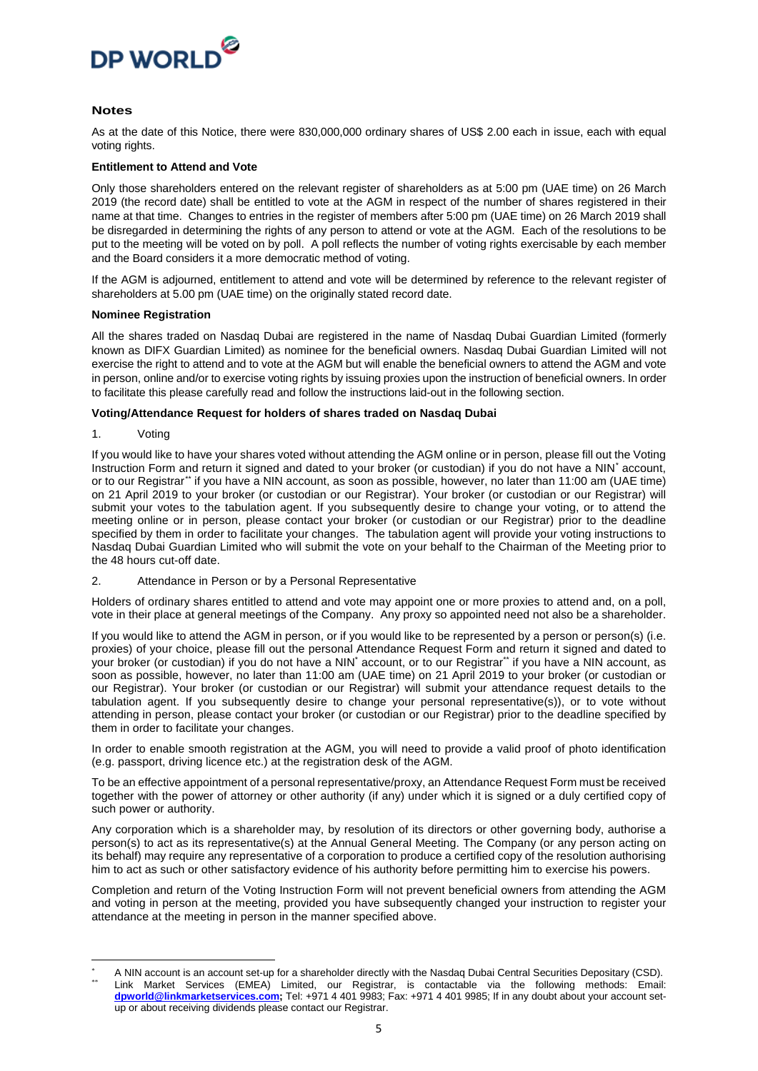

#### **Notes**

As at the date of this Notice, there were 830,000,000 ordinary shares of US\$ 2.00 each in issue, each with equal voting rights.

#### **Entitlement to Attend and Vote**

Only those shareholders entered on the relevant register of shareholders as at 5:00 pm (UAE time) on 26 March 2019 (the record date) shall be entitled to vote at the AGM in respect of the number of shares registered in their name at that time. Changes to entries in the register of members after 5:00 pm (UAE time) on 26 March 2019 shall be disregarded in determining the rights of any person to attend or vote at the AGM. Each of the resolutions to be put to the meeting will be voted on by poll. A poll reflects the number of voting rights exercisable by each member and the Board considers it a more democratic method of voting.

If the AGM is adjourned, entitlement to attend and vote will be determined by reference to the relevant register of shareholders at 5.00 pm (UAE time) on the originally stated record date.

#### **Nominee Registration**

All the shares traded on Nasdaq Dubai are registered in the name of Nasdaq Dubai Guardian Limited (formerly known as DIFX Guardian Limited) as nominee for the beneficial owners. Nasdaq Dubai Guardian Limited will not exercise the right to attend and to vote at the AGM but will enable the beneficial owners to attend the AGM and vote in person, online and/or to exercise voting rights by issuing proxies upon the instruction of beneficial owners. In order to facilitate this please carefully read and follow the instructions laid-out in the following section.

#### **Voting/Attendance Request for holders of shares traded on Nasdaq Dubai**

1. Voting

**.** 

If you would like to have your shares voted without attending the AGM online or in person, please fill out the Voting Instruction Form and return it signed and dated to your broker (or custodian) if you do not have a NIN[\\*](#page-4-0) account, or to our Registrar[\\*\\*](#page-4-1) if you have a NIN account, as soon as possible, however, no later than 11:00 am (UAE time) on 21 April 2019 to your broker (or custodian or our Registrar). Your broker (or custodian or our Registrar) will submit your votes to the tabulation agent. If you subsequently desire to change your voting, or to attend the meeting online or in person, please contact your broker (or custodian or our Registrar) prior to the deadline specified by them in order to facilitate your changes. The tabulation agent will provide your voting instructions to Nasdaq Dubai Guardian Limited who will submit the vote on your behalf to the Chairman of the Meeting prior to the 48 hours cut-off date.

2. Attendance in Person or by a Personal Representative

Holders of ordinary shares entitled to attend and vote may appoint one or more proxies to attend and, on a poll, vote in their place at general meetings of the Company. Any proxy so appointed need not also be a shareholder.

If you would like to attend the AGM in person, or if you would like to be represented by a person or person(s) (i.e. proxies) of your choice, please fill out the personal Attendance Request Form and return it signed and dated to your broker (or custodian) if you do not have a NIN<sup>\*</sup> account, or to our Registrar\*\* if you have a NIN account, as soon as possible, however, no later than 11:00 am (UAE time) on 21 April 2019 to your broker (or custodian or our Registrar). Your broker (or custodian or our Registrar) will submit your attendance request details to the tabulation agent. If you subsequently desire to change your personal representative(s)), or to vote without attending in person, please contact your broker (or custodian or our Registrar) prior to the deadline specified by them in order to facilitate your changes.

In order to enable smooth registration at the AGM, you will need to provide a valid proof of photo identification (e.g. passport, driving licence etc.) at the registration desk of the AGM.

To be an effective appointment of a personal representative/proxy, an Attendance Request Form must be received together with the power of attorney or other authority (if any) under which it is signed or a duly certified copy of such power or authority.

Any corporation which is a shareholder may, by resolution of its directors or other governing body, authorise a person(s) to act as its representative(s) at the Annual General Meeting. The Company (or any person acting on its behalf) may require any representative of a corporation to produce a certified copy of the resolution authorising him to act as such or other satisfactory evidence of his authority before permitting him to exercise his powers.

Completion and return of the Voting Instruction Form will not prevent beneficial owners from attending the AGM and voting in person at the meeting, provided you have subsequently changed your instruction to register your attendance at the meeting in person in the manner specified above.

<span id="page-4-1"></span><span id="page-4-0"></span>A NIN account is an account set-up for a shareholder directly with the Nasdaq Dubai Central Securities Depositary (CSD). Link Market Services (EMEA) Limited, our Registrar, is contactable via the following methods: Email: **[dpworld@linkmarketservices.com;](mailto:dpworld@linkmarketservices.com)** Tel: +971 4 401 9983; Fax: +971 4 401 9985; If in any doubt about your account setup or about receiving dividends please contact our Registrar.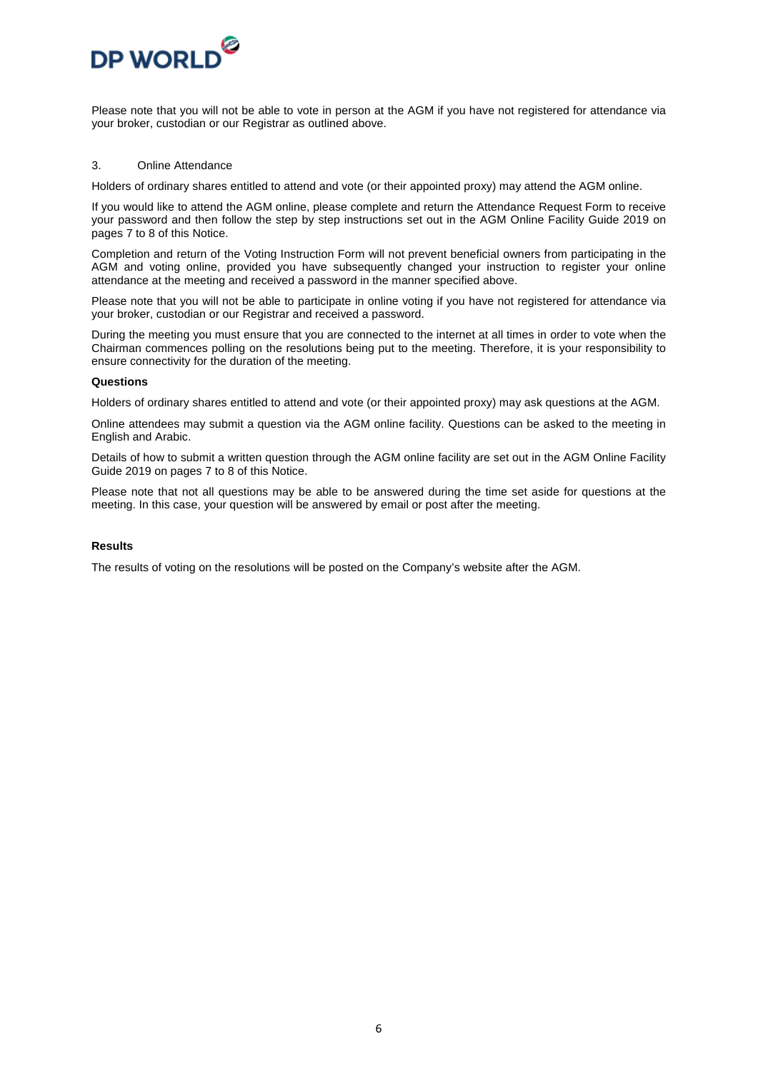

Please note that you will not be able to vote in person at the AGM if you have not registered for attendance via your broker, custodian or our Registrar as outlined above.

#### 3. Online Attendance

Holders of ordinary shares entitled to attend and vote (or their appointed proxy) may attend the AGM online.

If you would like to attend the AGM online, please complete and return the Attendance Request Form to receive your password and then follow the step by step instructions set out in the AGM Online Facility Guide 2019 on pages 7 to 8 of this Notice.

Completion and return of the Voting Instruction Form will not prevent beneficial owners from participating in the AGM and voting online, provided you have subsequently changed your instruction to register your online attendance at the meeting and received a password in the manner specified above.

Please note that you will not be able to participate in online voting if you have not registered for attendance via your broker, custodian or our Registrar and received a password.

During the meeting you must ensure that you are connected to the internet at all times in order to vote when the Chairman commences polling on the resolutions being put to the meeting. Therefore, it is your responsibility to ensure connectivity for the duration of the meeting.

#### **Questions**

Holders of ordinary shares entitled to attend and vote (or their appointed proxy) may ask questions at the AGM.

Online attendees may submit a question via the AGM online facility. Questions can be asked to the meeting in English and Arabic.

Details of how to submit a written question through the AGM online facility are set out in the AGM Online Facility Guide 2019 on pages 7 to 8 of this Notice.

Please note that not all questions may be able to be answered during the time set aside for questions at the meeting. In this case, your question will be answered by email or post after the meeting.

#### **Results**

The results of voting on the resolutions will be posted on the Company's website after the AGM.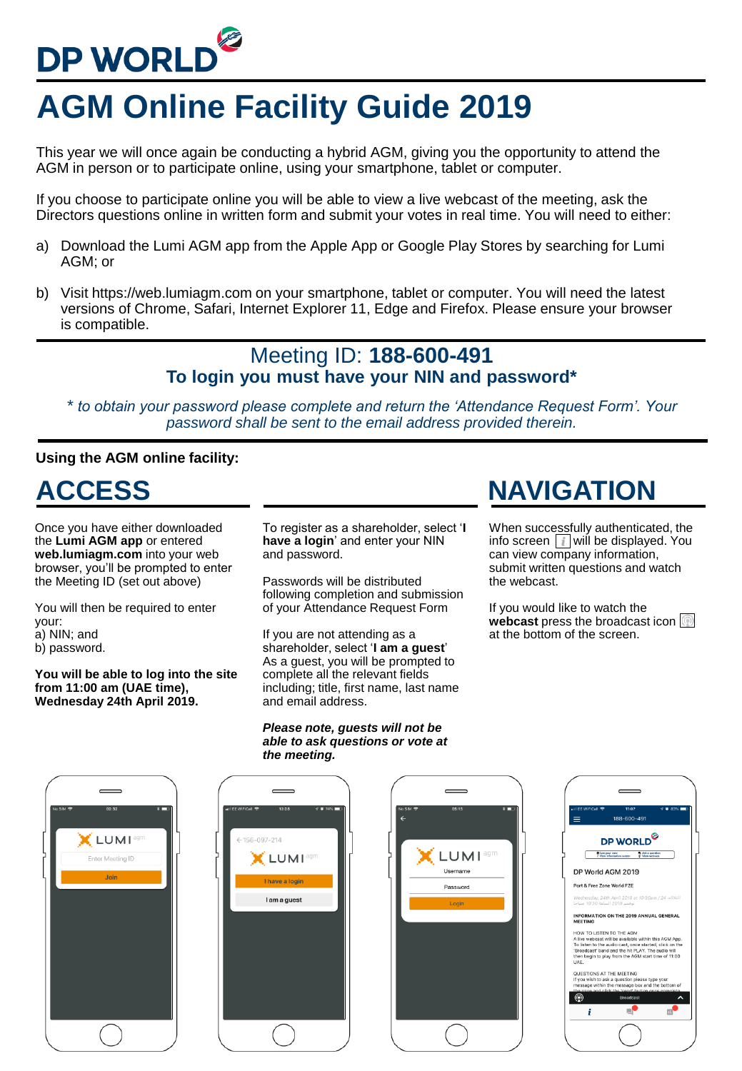# DP WORLD<sup>@</sup>

## **AGM Online Facility Guide 2019**

This year we will once again be conducting a hybrid AGM, giving you the opportunity to attend the AGM in person or to participate online, using your smartphone, tablet or computer.

If you choose to participate online you will be able to view a live webcast of the meeting, ask the Directors questions online in written form and submit your votes in real time. You will need to either:

- a) Download the Lumi AGM app from the Apple App or Google Play Stores by searching for Lumi AGM; or
- b) Visit https://web.lumiagm.com on your smartphone, tablet or computer. You will need the latest versions of Chrome, Safari, Internet Explorer 11, Edge and Firefox. Please ensure your browser is compatible.

### Meeting ID: **188-600-491 To login you must have your NIN and password\***

*\* to obtain your password please complete and return the 'Attendance Request Form'. Your password shall be sent to the email address provided therein.*

#### **Using the AGM online facility:**

**ACCESS NAVIGATION**

Once you have either downloaded the **Lumi AGM app** or entered **web.lumiagm.com** into your web browser, you'll be prompted to enter the Meeting ID (set out above)

You will then be required to enter your:

- a) NIN; and
- b) password.

**You will be able to log into the site from 11:00 am (UAE time), Wednesday 24th April 2019.**

To register as a shareholder, select '**I have a login**' and enter your NIN and password.

When successfully authenticated, the info screen  $\boxed{\mathbf{i}}$  will be displayed. You can view company information, submit written questions and watch

**webcast** press the broadcast icon

If you would like to watch the

at the bottom of the screen.

the webcast.

Passwords will be distributed following completion and submission of your Attendance Request Form

If you are not attending as a shareholder, select '**I am a guest**' As a guest, you will be prompted to complete all the relevant fields including; title, first name, last name and email address.

#### *Please note, guests will not be able to ask questions or vote at the meeting.*

#### 188-600-491 **CLUMI**<sup>ag</sup> DP WORLD<sup>O</sup> 097-214 **LUMI** Enter Meeting ID **LUMI** Username DP World AGM 2019 rt & Free Zone World FZE Password I am a guest **INFORMATION ON THE 2019 ANNUAL GENERAL**<br>MEETING OW TO LISTEN TO THE AGM rebcast will be available within this AGM App<br>n to the audio cast, once started, click on th<br>ast' band and the hit PLAY. The audio will<br>gin to play from the AGM start time of 11:00 QUESTIONS AT THE MEETING  $\circledR$  $\lambda$  $n^{\bullet}$  $\mathbf{i}$